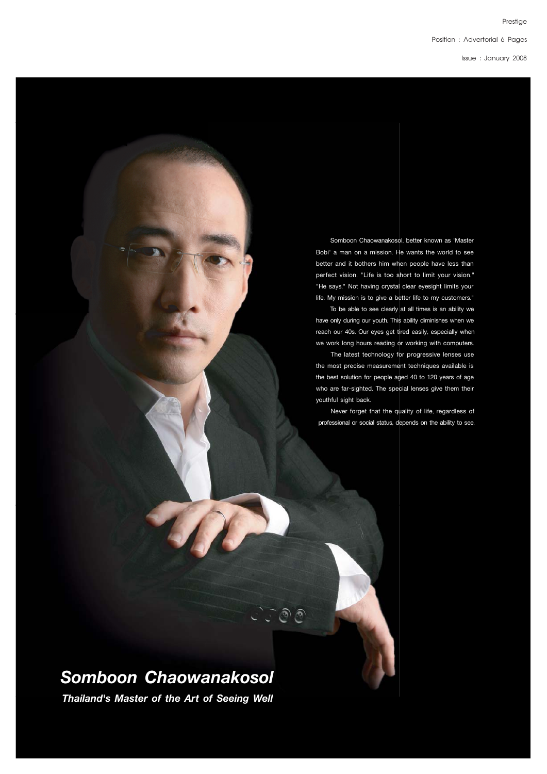Position : Advertorial 6 Pages

lssue : January 2008

 Somboon Chaowanakosol, better known as 'Master Bobi' a man on a mission. He wants the world to see better and it bothers him when people have less than perfect vision. "Life is too short to limit your vision." "He says." Not having crystal clear eyesight limits your life. My mission is to give a better life to my customers."

 To be able to see clearly at all times is an ability we have only during our youth. This ability diminishes when we reach our 40s. Our eyes get tired easily, especially when we work long hours reading or working with computers.

 The latest technology for progressive lenses use the most precise measurement techniques available is the best solution for people aged 40 to 120 years of age who are far-sighted. The special lenses give them their youthful sight back.

 Never forget that the quality of life, regardless of professional or social status, depends on the ability to see.

# *Somboon Chaowanakosol*

C C O O

*Thailand's Master of the Art of Seeing Well*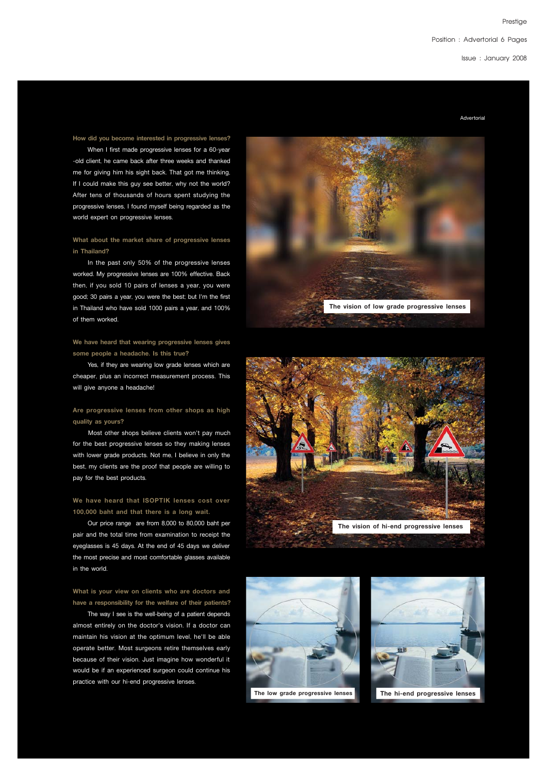Position : Advertorial 6 Pages

lssue : January 2008

Advertorial

#### **How did you become interested in progressive lenses?**

 When I first made progressive lenses for a 60-year -old client, he came back after three weeks and thanked me for giving him his sight back. That got me thinking, If I could make this guy see better, why not the world? After tens of thousands of hours spent studying the progressive lenses, I found myself being regarded as the world expert on progressive lenses.

# **What about the market share of progressive lenses in Thailand?**

 In the past only 50% of the progressive lenses worked. My progressive lenses are 100% effective. Back then, if you sold 10 pairs of lenses a year, you were good; 30 pairs a year, you were the best; but I'm the first in Thailand who have sold 1000 pairs a year, and 100% of them worked.

### **We have heard that wearing progressive lenses gives some people a headache. Is this true?**

 Yes, if they are wearing low grade lenses which are cheaper, plus an incorrect measurement process. This will give anyone a headache!

# **Are progressive lenses from other shops as high quality as yours?**

 Most other shops believe clients won't pay much for the best progressive lenses so they making lenses with lower grade products. Not me, I believe in only the best, my clients are the proof that people are willing to pay for the best products.

# **We have heard that ISOPTIK lenses cost over 100,000 baht and that there is a long wait.**

 Our price range are from 8,000 to 80,000 baht per pair and the total time from examination to receipt the eyeglasses is 45 days. At the end of 45 days we deliver the most precise and most comfortable glasses available in the world.

# **What is your view on clients who are doctors and have a responsibility for the welfare of their patients?**

 The way I see is the well-being of a patient depends almost entirely on the doctor's vision. If a doctor can maintain his vision at the optimum level, he'll be able operate better. Most surgeons retire themselves early because of their vision. Just imagine how wonderful it would be if an experienced surgeon could continue his practice with our hi-end progressive lenses.







**The low grade progressive lenses The hi-end progressive lenses**

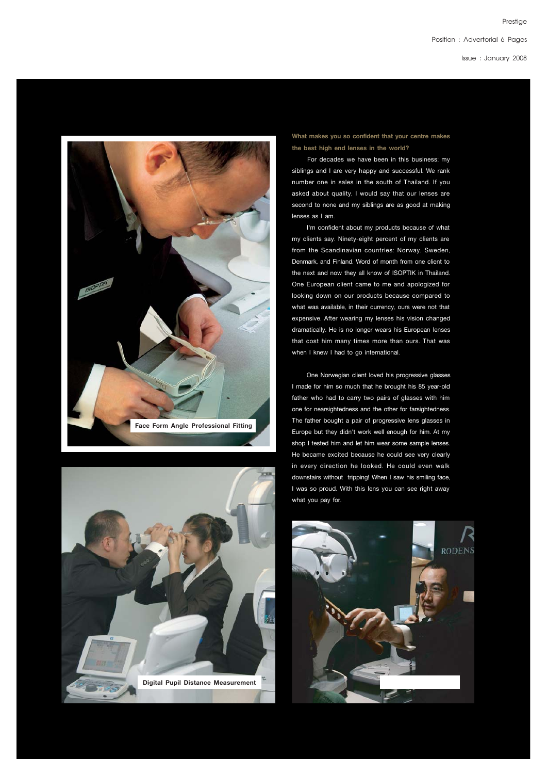lssue : January 2008

**Prestiae** 





**What makes you so confident that your centre makes the best high end lenses in the world?**

For decades we have been in this business; my siblings and I are very happy and successful. We rank number one in sales in the south of Thailand. If you asked about quality, I would say that our lenses are second to none and my siblings are as good at making lenses as I am.

 I'm confident about my products because of what my clients say. Ninety-eight percent of my clients are from the Scandinavian countries: Norway, Sweden, Denmark, and Finland. Word of month from one client to the next and now they all know of ISOPTIK in Thailand. One European client came to me and apologized for looking down on our products because compared to what was available, in their currency, ours were not that expensive. After wearing my lenses his vision changed dramatically. He is no longer wears his European lenses that cost him many times more than ours. That was when I knew I had to go international.

 One Norwegian client loved his progressive glasses I made for him so much that he brought his 85 year-old father who had to carry two pairs of glasses with him one for nearsightedness and the other for farsightedness. The father bought a pair of progressive lens glasses in Europe but they didn't work well enough for him. At my shop I tested him and let him wear some sample lenses. He became excited because he could see very clearly in every direction he looked. He could even walk downstairs without tripping! When I saw his smiling face, I was so proud. With this lens you can see right away what you pay for.

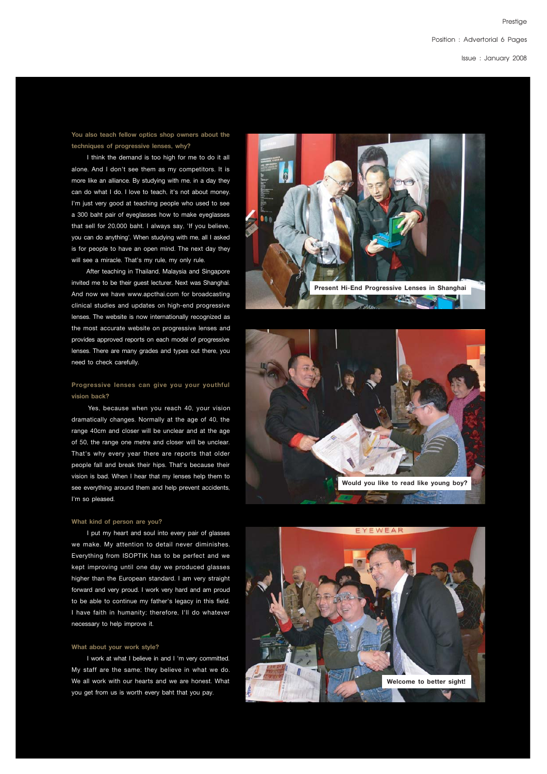# Position : Advertorial 6 Pages

lssue : January 2008

# **You also teach fellow optics shop owners about the techniques of progressive lenses, why?**

I think the demand is too high for me to do it all alone. And I don't see them as my competitors. It is more like an alliance. By studying with me, in a day they can do what I do. I love to teach, it's not about money. I'm just very good at teaching people who used to see a 300 baht pair of eyeglasses how to make eyeglasses that sell for 20,000 baht. I always say, 'If you believe, you can do anything'. When studying with me, all I asked is for people to have an open mind. The next day they will see a miracle. That's my rule, my only rule.

 After teaching in Thailand, Malaysia and Singapore invited me to be their guest lecturer. Next was Shanghai. And now we have www.apcthai.com for broadcasting clinical studies and updates on high-end progressive lenses. The website is now internationally recognized as the most accurate website on progressive lenses and provides approved reports on each model of progressive lenses. There are many grades and types out there, you need to check carefully.

# **Progressive lenses can give you your youthful vision back?**

Yes, because when you reach 40, your vision dramatically changes. Normally at the age of 40, the range 40cm and closer will be unclear and at the age of 50, the range one metre and closer will be unclear. That's why every year there are reports that older people fall and break their hips. That's because their vision is bad. When I hear that my lenses help them to see everything around them and help prevent accidents, I'm so pleased.

#### **What kind of person are you?**

I put my heart and soul into every pair of glasses we make. My attention to detail never diminishes. Everything from ISOPTIK has to be perfect and we kept improving until one day we produced glasses higher than the European standard. I am very straight forward and very proud. I work very hard and am proud to be able to continue my father's legacy in this field. I have faith in humanity; therefore, I'll do whatever necessary to help improve it.

#### **What about your work style?**

I work at what I believe in and I 'm very committed. My staff are the same; they believe in what we do. We all work with our hearts and we are honest. What you get from us is worth every baht that you pay.





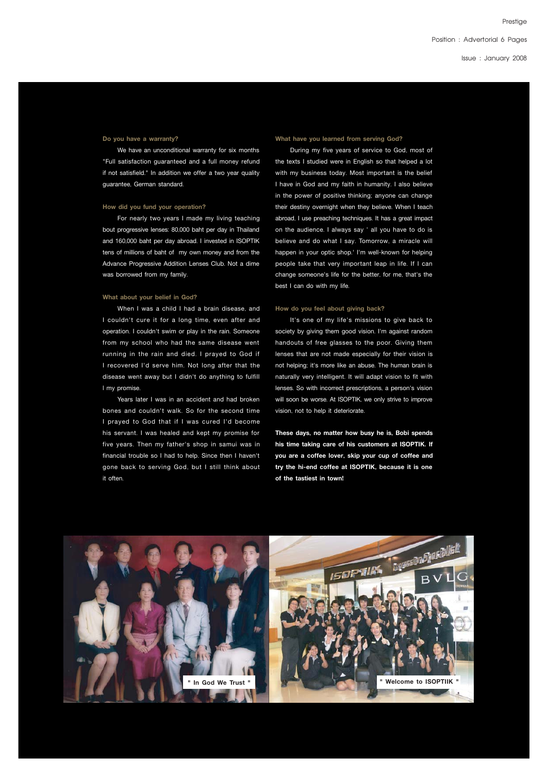**Prestiae** 

lssue : January 2008

#### **Do you have a warranty?**

 We have an unconditional warranty for six months "Full satisfaction guaranteed and a full money refund if not satisfield." In addition we offer a two year quality guarantee, German standard.

#### **How did you fund your operation?**

 For nearly two years I made my living teaching bout progressive lenses: 80,000 baht per day in Thailand and 160,000 baht per day abroad. I invested in ISOPTIK tens of millions of baht of my own money and from the Advance Progressive Addition Lenses Club. Not a dime was borrowed from my family.

#### **What about your belief in God?**

 When I was a child I had a brain disease, and I couldn't cure it for a long time, even after and operation. I couldn't swim or play in the rain. Someone from my school who had the same disease went running in the rain and died. I prayed to God if I recovered I'd serve him. Not long after that the disease went away but I didn't do anything to fulfill l my promise.

 Years later I was in an accident and had broken bones and couldn't walk. So for the second time I prayed to God that if I was cured I'd become his servant. I was healed and kept my promise for five years. Then my father's shop in samui was in financial trouble so I had to help. Since then I haven't gone back to serving God, but I still think about it often.

#### **What have you learned from serving God?**

 During my five years of service to God, most of the texts I studied were in English so that helped a lot with my business today. Most important is the belief I have in God and my faith in humanity. I also believe in the power of positive thinking; anyone can change their destiny overnight when they believe. When I teach abroad, I use preaching techniques. It has a great impact on the audience. I always say ' all you have to do is believe and do what I say. Tomorrow, a miracle will happen in your optic shop.' I'm well-known for helping people take that very important leap in life. If I can change someone's life for the better, for me, that's the best I can do with my life.

#### **How do you feel about giving back?**

 It's one of my life's missions to give back to society by giving them good vision. I'm against random handouts of free glasses to the poor. Giving them lenses that are not made especially for their vision is not helping; it's more like an abuse. The human brain is naturally very intelligent. It will adapt vision to fit with lenses. So with incorrect prescriptions, a person's vision will soon be worse. At ISOPTIK, we only strive to improve vision, not to help it deteriorate.

**These days, no matter how busy he is, Bobi spends his time taking care of his customers at ISOPTIK. If you are a coffee lover, skip your cup of coffee and try the hi-end coffee at ISOPTIK, because it is one of the tastiest in town!**